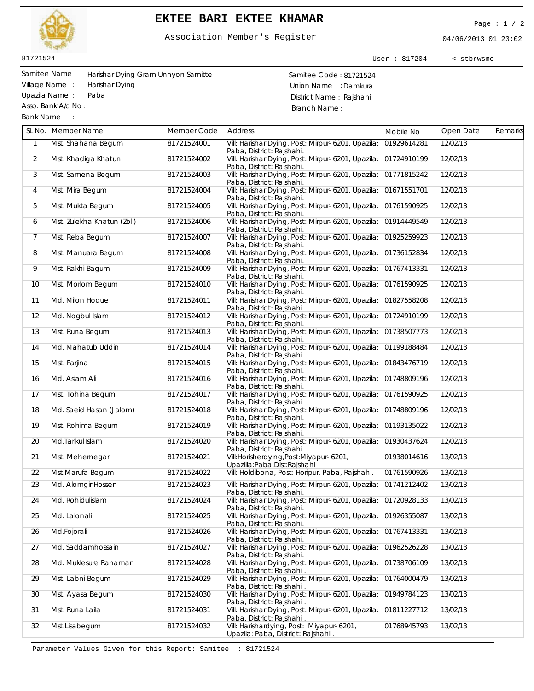

## **EKTEE BARI EKTEE KHAMAR** Page : 1 / 2

Association Member's Register

04/06/2013 01:23:02

User : 817204 < stbrwsme

81721524

Asso. Bank A/c No :

Bank Name :

Samitee Name : Harishar Dying Gram Unnyon Samitte Samitee Code : 81721524 Village Name : Harishar Dying **Communist Communist Communist Communist Communist Communist Communist Communist Communist Communist Communist Communist Communist Communist Communist Communist Communist Communist Communist C** Upazila Name : Paba District Name : Rajshahi Branch Name :

|                | SL No. Member Name         | Member Code | Address                                                                                    | Mobile No   | Open Date | Remarks |
|----------------|----------------------------|-------------|--------------------------------------------------------------------------------------------|-------------|-----------|---------|
| $\mathbf{1}$   | Mst. Shahana Begum         | 81721524001 | Vill: Harishar Dying, Post: Mirpur-6201, Upazila: 01929614281<br>Paba, District: Rajshahi. |             | 12/02/13  |         |
| $\overline{2}$ | Mst. Khadiga Khatun        | 81721524002 | Vill: Harishar Dying, Post: Mirpur-6201, Upazila: 01724910199<br>Paba, District: Rajshahi. |             | 12/02/13  |         |
| 3              | Mst. Samena Begum          | 81721524003 | Vill: Harishar Dying, Post: Mirpur-6201, Upazila: 01771815242<br>Paba, District: Rajshahi. |             | 12/02/13  |         |
| 4              | Mst. Mira Begum            | 81721524004 | Vill: Harishar Dying, Post: Mirpur-6201, Upazila: 01671551701<br>Paba, District: Rajshahi. |             | 12/02/13  |         |
| 5              | Mst. Mukta Begum           | 81721524005 | Vill: Harishar Dying, Post: Mirpur-6201, Upazila: 01761590925<br>Paba, District: Rajshahi. |             | 12/02/13  |         |
| 6              | Mst. Zulekha Khatun (Zoli) | 81721524006 | Vill: Harishar Dying, Post: Mirpur-6201, Upazila: 01914449549<br>Paba, District: Rajshahi. |             | 12/02/13  |         |
| 7              | Mst. Reba Begum            | 81721524007 | Vill: Harishar Dying, Post: Mirpur-6201, Upazila: 01925259923<br>Paba, District: Rajshahi. |             | 12/02/13  |         |
| 8              | Mst. Manuara Begum         | 81721524008 | Vill: Harishar Dying, Post: Mirpur-6201, Upazila: 01736152834<br>Paba, District: Rajshahi. |             | 12/02/13  |         |
| 9              | Mst. Rakhi Bagum           | 81721524009 | Vill: Harishar Dying, Post: Mirpur-6201, Upazila: 01767413331<br>Paba, District: Rajshahi. |             | 12/02/13  |         |
| 10             | Mst. Moriom Begum          | 81721524010 | Vill: Harishar Dying, Post: Mirpur-6201, Upazila: 01761590925<br>Paba, District: Rajshahi. |             | 12/02/13  |         |
| 11             | Md. Milon Hoque            | 81721524011 | Vill: Harishar Dying, Post: Mirpur-6201, Upazila: 01827558208<br>Paba, District: Rajshahi. |             | 12/02/13  |         |
| 12             | Md. Nogbul Islam           | 81721524012 | Vill: Harishar Dying, Post: Mirpur-6201, Upazila: 01724910199<br>Paba, District: Rajshahi. |             | 12/02/13  |         |
| 13             | Mst. Runa Begum            | 81721524013 | Vill: Harishar Dying, Post: Mirpur-6201, Upazila: 01738507773<br>Paba, District: Rajshahi. |             | 12/02/13  |         |
| 14             | Md. Mahatub Uddin          | 81721524014 | Vill: Harishar Dying, Post: Mirpur-6201, Upazila: 01199188484<br>Paba, District: Rajshahi. |             | 12/02/13  |         |
| 15             | Mst. Farjina               | 81721524015 | Vill: Harishar Dying, Post: Mirpur-6201, Upazila: 01843476719<br>Paba, District: Rajshahi. |             | 12/02/13  |         |
| 16             | Md. Aslam Ali              | 81721524016 | Vill: Harishar Dying, Post: Mirpur-6201, Upazila: 01748809196<br>Paba, District: Rajshahi. |             | 12/02/13  |         |
| 17             | Mst. Tohina Begum          | 81721524017 | Vill: Harishar Dying, Post: Mirpur-6201, Upazila: 01761590925<br>Paba, District: Rajshahi. |             | 12/02/13  |         |
| 18             | Md. Saeid Hasan (Jalom)    | 81721524018 | Vill: Harishar Dying, Post: Mirpur-6201, Upazila: 01748809196<br>Paba, District: Rajshahi. |             | 12/02/13  |         |
| 19             | Mst. Rohima Begum          | 81721524019 | Vill: Harishar Dying, Post: Mirpur-6201, Upazila: 01193135022<br>Paba, District: Rajshahi. |             | 12/02/13  |         |
| 20             | Md.Tarikul Islam           | 81721524020 | Vill: Harishar Dying, Post: Mirpur-6201, Upazila: 01930437624<br>Paba, District: Rajshahi. |             | 12/02/13  |         |
| 21             | Mst. Mehernegar            | 81721524021 | Vill: Horisherdying, Post: Miyapur-6201,<br>Upazilla:Paba,Dist:Rajshahi                    | 01938014616 | 13/02/13  |         |
| 22             | Mst.Marufa Begum           | 81721524022 | Vill: Holdibona, Post: Horipur, Paba, Rajshahi.                                            | 01761590926 | 13/02/13  |         |
| 23             | Md. Alomgir Hossen         | 81721524023 | Vill: Harishar Dying, Post: Mirpur-6201, Upazila: 01741212402<br>Paba, District: Rajshahi. |             | 13/02/13  |         |
| 24             | Md. Rohidulislam           | 81721524024 | Vill: Harishar Dying, Post: Mirpur-6201, Upazila: 01720928133<br>Paba, District: Rajshahi. |             | 13/02/13  |         |
| 25             | Md. Lalonali               | 81721524025 | Vill: Harishar Dying, Post: Mirpur-6201, Upazila: 01926355087<br>Paba, District: Rajshahi. |             | 13/02/13  |         |
| 26             | Md.Fojorali                | 81721524026 | Vill: Harishar Dying, Post: Mirpur-6201, Upazila: 01767413331<br>Paba, District: Rajshahi. |             | 13/02/13  |         |
| 27             | Md. Saddamhossain          | 81721524027 | Vill: Harishar Dying, Post: Mirpur-6201, Upazila: 01962526228<br>Paba, District: Rajshahi. |             | 13/02/13  |         |
| 28             | Md. Muklesure Rahaman      | 81721524028 | Vill: Harishar Dying, Post: Mirpur-6201, Upazila: 01738706109<br>Paba, District: Rajshahi. |             | 13/02/13  |         |
| 29             | Mst. Labni Begum           | 81721524029 | Vill: Harishar Dying, Post: Mirpur-6201, Upazila: 01764000479<br>Paba, District: Rajshahi. |             | 13/02/13  |         |
| 30             | Mst. Ayasa Begum           | 81721524030 | Vill: Harishar Dying, Post: Mirpur-6201, Upazila: 01949784123<br>Paba, District: Rajshahi. |             | 13/02/13  |         |
| 31             | Mst. Runa Laila            | 81721524031 | Vill: Harishar Dying, Post: Mirpur-6201, Upazila: 01811227712<br>Paba, District: Rajshahi. |             | 13/02/13  |         |
| 32             | Mst.Lisabegum              | 81721524032 | Vill: Harishardying, Post: Miyapur-6201,<br>Upazila: Paba, District: Rajshahi.             | 01768945793 | 13/02/13  |         |

Parameter Values Given for this Report: Samitee : 81721524